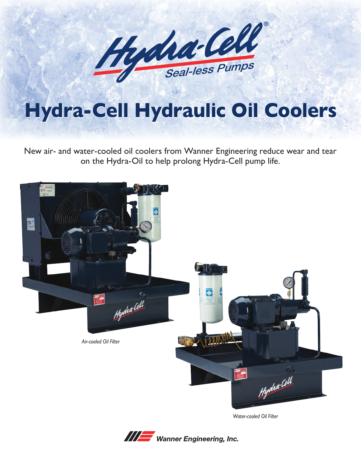

# **Hydra-Cell Hydraulic Oil Coolers**

New air- and water-cooled oil coolers from Wanner Engineering reduce wear and tear on the Hydra-Oil to help prolong Hydra-Cell pump life.



*Water-cooled Oil Filter*

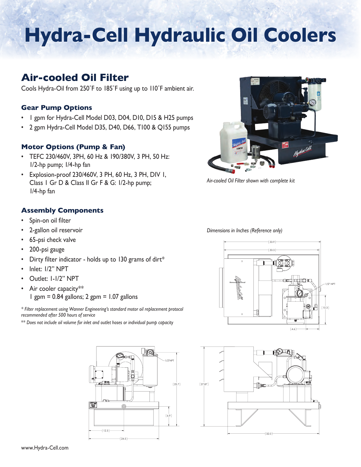# **Hydra-Cell Hydraulic Oil Coolers**

### **Air-cooled Oil Filter**

Cools Hydra-Oil from 250˚F to 185˚F using up to 110˚F ambient air.

#### **Gear Pump Options**

- 1 gpm for Hydra-Cell Model D03, D04, D10, D15 & H25 pumps
- 2 gpm Hydra-Cell Model D35, D40, D66, T100 & Q155 pumps

#### **Motor Options (Pump & Fan)**

- TEFC 230/460V, 3PH, 60 Hz & 190/380V, 3 PH, 50 Hz: 1/2-hp pump; 1/4-hp fan
- Explosion-proof 230/460V, 3 PH, 60 Hz, 3 PH, DIV 1, Class 1 Gr D & Class II Gr F & G: 1/2-hp pump; 1/4-hp fan

#### **Assembly Components**

- Spin-on oil filter
- 2-gallon oil reservoir
- 65-psi check valve
- 200-psi gauge
- Dirty filter indicator holds up to 130 grams of dirt\*
- Inlet: I/2" NPT
- Outlet: 1-1/2" NPT
- Air cooler capacity\*\*  $1$  gpm = 0.84 gallons; 2 gpm = 1.07 gallons

*\* Filter replacement using Wanner Engineering's standard motor oil replacement protocol*  4.6 3.5 TYP *recommended after 500 hours of service*

 $^{**}$  Does not include oil volume for inlet and outlet hoses or individual pump capacity





*Air-cooled Oil Filter shown with complete kit*

33.3 *Dimensions in Inches (Reference only)*



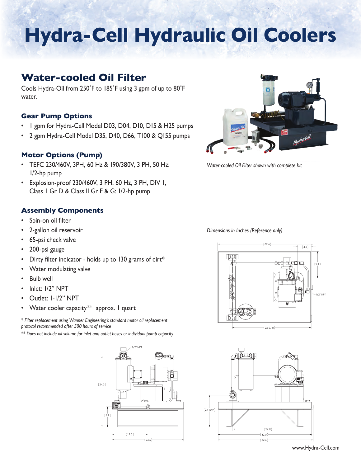# **Hydra-Cell Hydraulic Oil Coolers**

### **Water-cooled Oil Filter**

Cools Hydra-Oil from 250˚F to 185˚F using 3 gpm of up to 80˚F water.

#### **Gear Pump Options**

- 1 gpm for Hydra-Cell Model D03, D04, D10, D15 & H25 pumps
- 2 gpm Hydra-Cell Model D35, D40, D66, T100 & Q155 pumps

#### **Motor Options (Pump)**

- TEFC 230/460V, 3PH, 60 Hz & 190/380V, 3 PH, 50 Hz: 1/2-hp pump
- Explosion-proof 230/460V, 3 PH, 60 Hz, 3 PH, DIV 1, Class 1 Gr D & Class II Gr F & G: 1/2-hp pump

### **Assembly Components**

- Spin-on oil filter
- 2-gallon oil reservoir 32.6
	- 65-psi check valve
	- 200-psi gauge
	- Dirty filter indicator holds up to 130 grams of dirt\*
	- Water modulating valve
	- Bulb well
	- Inlet: I/2" NPT
	- Outlet: 1-1/2" NPT
	- Water cooler capacity\*\* approx. I quart

*\* Filter replacement using Wanner Engineering's standard motor oil replacement protocol recommended after 500 hours of service*

\*\* *Does not include oil volume for inlet and outlet hoses or individual pump capacity*





*Water-cooled Oil Filter shown with complete kit*

32.6 *Dimensions in Inches (Reference only)*